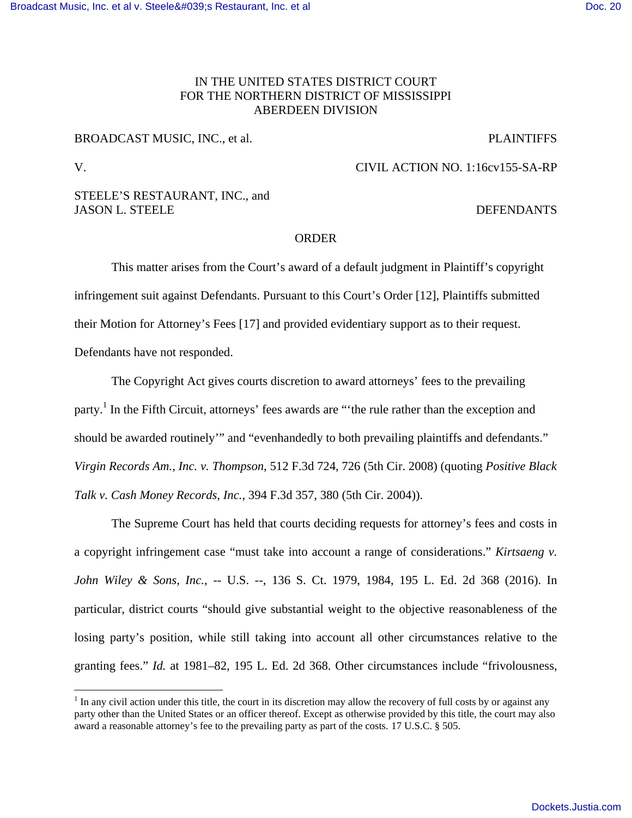# IN THE UNITED STATES DISTRICT COURT FOR THE NORTHERN DISTRICT OF MISSISSIPPI ABERDEEN DIVISION

# BROADCAST MUSIC, INC., et al. PLAINTIFFS

 $\overline{a}$ 

V. CIVIL ACTION NO. 1:16cv155-SA-RP

## STEELE'S RESTAURANT, INC., and JASON L. STEELE DEFENDANTS

# ORDER

 This matter arises from the Court's award of a default judgment in Plaintiff's copyright infringement suit against Defendants. Pursuant to this Court's Order [12], Plaintiffs submitted their Motion for Attorney's Fees [17] and provided evidentiary support as to their request. Defendants have not responded.

The Copyright Act gives courts discretion to award attorneys' fees to the prevailing party.<sup>1</sup> In the Fifth Circuit, attorneys' fees awards are "the rule rather than the exception and should be awarded routinely'" and "evenhandedly to both prevailing plaintiffs and defendants." *Virgin Records Am., Inc. v. Thompson*, 512 F.3d 724, 726 (5th Cir. 2008) (quoting *Positive Black Talk v. Cash Money Records, Inc.*, 394 F.3d 357, 380 (5th Cir. 2004)).

The Supreme Court has held that courts deciding requests for attorney's fees and costs in a copyright infringement case "must take into account a range of considerations." *Kirtsaeng v. John Wiley & Sons, Inc.*, -- U.S. --, 136 S. Ct. 1979, 1984, 195 L. Ed. 2d 368 (2016). In particular, district courts "should give substantial weight to the objective reasonableness of the losing party's position, while still taking into account all other circumstances relative to the granting fees." *Id.* at 1981–82, 195 L. Ed. 2d 368. Other circumstances include "frivolousness,

 $<sup>1</sup>$  In any civil action under this title, the court in its discretion may allow the recovery of full costs by or against any</sup> party other than the United States or an officer thereof. Except as otherwise provided by this title, the court may also award a reasonable attorney's fee to the prevailing party as part of the costs. 17 U.S.C. § 505.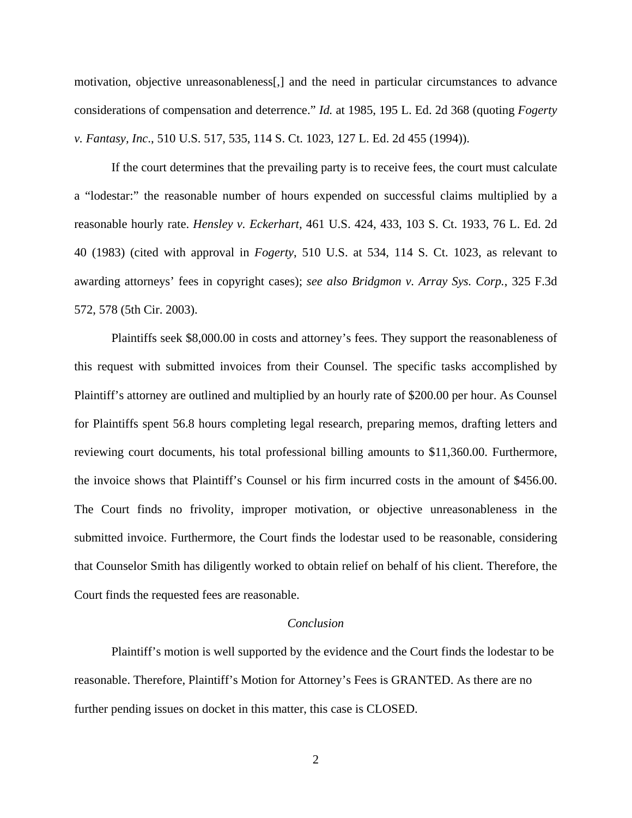motivation, objective unreasonableness[,] and the need in particular circumstances to advance considerations of compensation and deterrence." *Id.* at 1985, 195 L. Ed. 2d 368 (quoting *Fogerty v. Fantasy, Inc*., 510 U.S. 517, 535, 114 S. Ct. 1023, 127 L. Ed. 2d 455 (1994)).

If the court determines that the prevailing party is to receive fees, the court must calculate a "lodestar:" the reasonable number of hours expended on successful claims multiplied by a reasonable hourly rate. *Hensley v. Eckerhart,* 461 U.S. 424, 433, 103 S. Ct. 1933, 76 L. Ed. 2d 40 (1983) (cited with approval in *Fogerty*, 510 U.S. at 534, 114 S. Ct. 1023, as relevant to awarding attorneys' fees in copyright cases); *see also Bridgmon v. Array Sys. Corp.*, 325 F.3d 572, 578 (5th Cir. 2003).

Plaintiffs seek \$8,000.00 in costs and attorney's fees. They support the reasonableness of this request with submitted invoices from their Counsel. The specific tasks accomplished by Plaintiff's attorney are outlined and multiplied by an hourly rate of \$200.00 per hour. As Counsel for Plaintiffs spent 56.8 hours completing legal research, preparing memos, drafting letters and reviewing court documents, his total professional billing amounts to \$11,360.00. Furthermore, the invoice shows that Plaintiff's Counsel or his firm incurred costs in the amount of \$456.00. The Court finds no frivolity, improper motivation, or objective unreasonableness in the submitted invoice. Furthermore, the Court finds the lodestar used to be reasonable, considering that Counselor Smith has diligently worked to obtain relief on behalf of his client. Therefore, the Court finds the requested fees are reasonable.

### *Conclusion*

 Plaintiff's motion is well supported by the evidence and the Court finds the lodestar to be reasonable. Therefore, Plaintiff's Motion for Attorney's Fees is GRANTED. As there are no further pending issues on docket in this matter, this case is CLOSED.